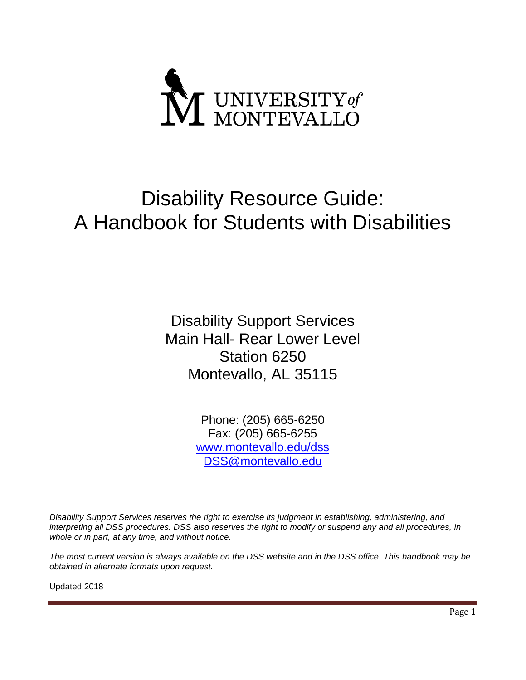

# Disability Resource Guide: A Handbook for Students with Disabilities

Disability Support Services Main Hall- Rear Lower Level Station 6250 Montevallo, AL 35115

> Phone: (205) 665-6250 Fax: (205) 665-6255 [www.montevallo.edu/dss](http://www.montevallo.edu/dss) [DSS@montevallo.edu](mailto:DSS@montevallo.edu)

*Disability Support Services reserves the right to exercise its judgment in establishing, administering, and interpreting all DSS procedures. DSS also reserves the right to modify or suspend any and all procedures, in whole or in part, at any time, and without notice.* 

*The most current version is always available on the DSS website and in the DSS office. This handbook may be obtained in alternate formats upon request.*

Updated 2018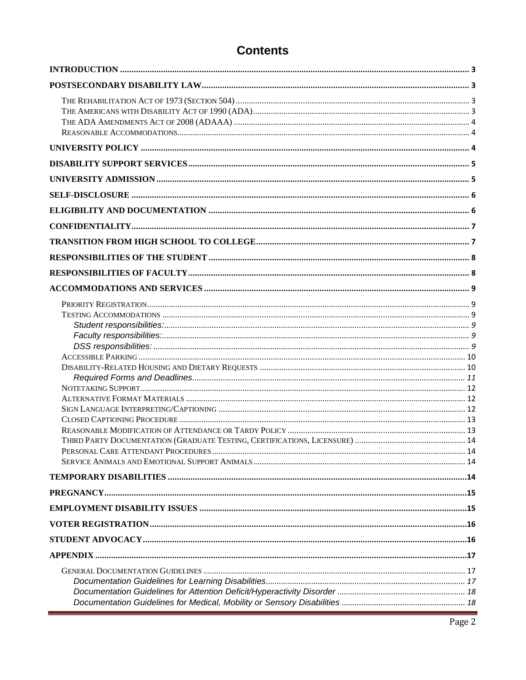# **Contents**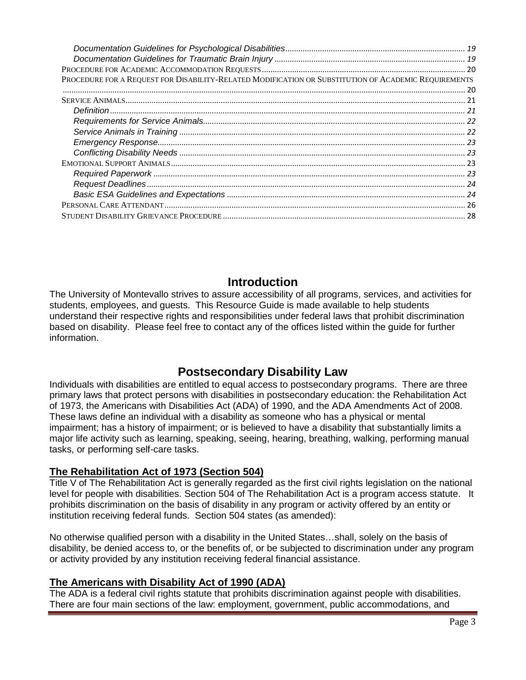| PROCEDURE FOR A REQUEST FOR DISABILITY-RELATED MODIFICATION OR SUBSTITUTION OF ACADEMIC REQUIREMENTS |  |
|------------------------------------------------------------------------------------------------------|--|
|                                                                                                      |  |
|                                                                                                      |  |
|                                                                                                      |  |
|                                                                                                      |  |
|                                                                                                      |  |
|                                                                                                      |  |
|                                                                                                      |  |
|                                                                                                      |  |
|                                                                                                      |  |
|                                                                                                      |  |
|                                                                                                      |  |
|                                                                                                      |  |
|                                                                                                      |  |

# **Introduction**

<span id="page-2-0"></span>The University of Montevallo strives to assure accessibility of all programs, services, and activities for students, employees, and guests. This Resource Guide is made available to help students understand their respective rights and responsibilities under federal laws that prohibit discrimination based on disability. Please feel free to contact any of the offices listed within the guide for further information.

# **Postsecondary Disability Law**

<span id="page-2-1"></span>Individuals with disabilities are entitled to equal access to postsecondary programs. There are three primary laws that protect persons with disabilities in postsecondary education: the Rehabilitation Act of 1973, the Americans with Disabilities Act (ADA) of 1990, and the ADA Amendments Act of 2008. These laws define an individual with a disability as someone who has a physical or mental impairment; has a history of impairment; or is believed to have a disability that substantially limits a major life activity such as learning, speaking, seeing, hearing, breathing, walking, performing manual tasks, or performing self-care tasks.

## <span id="page-2-2"></span>**The Rehabilitation Act of 1973 (Section 504)**

Title V of The Rehabilitation Act is generally regarded as the first civil rights legislation on the national level for people with disabilities. Section 504 of The Rehabilitation Act is a program access statute. It prohibits discrimination on the basis of disability in any program or activity offered by an entity or institution receiving federal funds. Section 504 states (as amended):

No otherwise qualified person with a disability in the United States…shall, solely on the basis of disability, be denied access to, or the benefits of, or be subjected to discrimination under any program or activity provided by any institution receiving federal financial assistance.

## <span id="page-2-3"></span>**The Americans with Disability Act of 1990 (ADA)**

The ADA is a federal civil rights statute that prohibits discrimination against people with disabilities. There are four main sections of the law: employment, government, public accommodations, and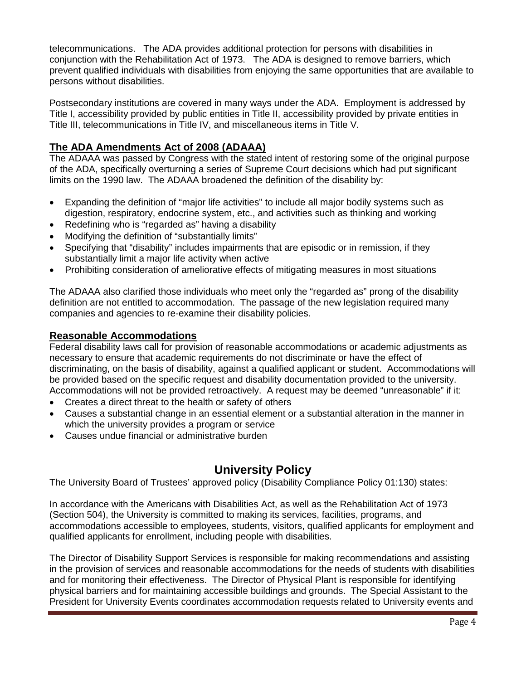telecommunications. The ADA provides additional protection for persons with disabilities in conjunction with the Rehabilitation Act of 1973. The ADA is designed to remove barriers, which prevent qualified individuals with disabilities from enjoying the same opportunities that are available to persons without disabilities.

Postsecondary institutions are covered in many ways under the ADA. Employment is addressed by Title I, accessibility provided by public entities in Title II, accessibility provided by private entities in Title III, telecommunications in Title IV, and miscellaneous items in Title V.

## <span id="page-3-0"></span>**The ADA Amendments Act of 2008 (ADAAA)**

The ADAAA was passed by Congress with the stated intent of restoring some of the original purpose of the ADA, specifically overturning a series of Supreme Court decisions which had put significant limits on the 1990 law. The ADAAA broadened the definition of the disability by:

- Expanding the definition of "major life activities" to include all major bodily systems such as digestion, respiratory, endocrine system, etc., and activities such as thinking and working
- Redefining who is "regarded as" having a disability
- Modifying the definition of "substantially limits"
- Specifying that "disability" includes impairments that are episodic or in remission, if they substantially limit a major life activity when active
- Prohibiting consideration of ameliorative effects of mitigating measures in most situations

The ADAAA also clarified those individuals who meet only the "regarded as" prong of the disability definition are not entitled to accommodation. The passage of the new legislation required many companies and agencies to re-examine their disability policies.

## <span id="page-3-1"></span>**Reasonable Accommodations**

Federal disability laws call for provision of reasonable accommodations or academic adjustments as necessary to ensure that academic requirements do not discriminate or have the effect of discriminating, on the basis of disability, against a qualified applicant or student. Accommodations will be provided based on the specific request and disability documentation provided to the university. Accommodations will not be provided retroactively. A request may be deemed "unreasonable" if it:

- Creates a direct threat to the health or safety of others
- Causes a substantial change in an essential element or a substantial alteration in the manner in which the university provides a program or service
- Causes undue financial or administrative burden

# **University Policy**

<span id="page-3-2"></span>The University Board of Trustees' approved policy (Disability Compliance Policy 01:130) states:

In accordance with the Americans with Disabilities Act, as well as the Rehabilitation Act of 1973 (Section 504), the University is committed to making its services, facilities, programs, and accommodations accessible to employees, students, visitors, qualified applicants for employment and qualified applicants for enrollment, including people with disabilities.

The Director of Disability Support Services is responsible for making recommendations and assisting in the provision of services and reasonable accommodations for the needs of students with disabilities and for monitoring their effectiveness. The Director of Physical Plant is responsible for identifying physical barriers and for maintaining accessible buildings and grounds. The Special Assistant to the President for University Events coordinates accommodation requests related to University events and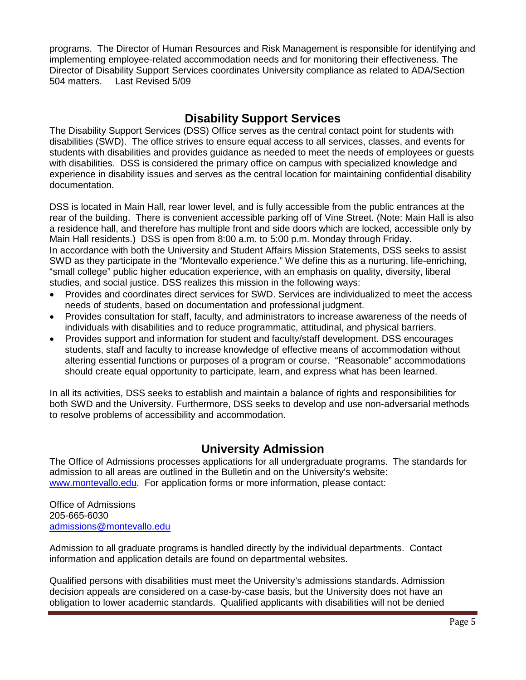programs. The Director of Human Resources and Risk Management is responsible for identifying and implementing employee-related accommodation needs and for monitoring their effectiveness. The Director of Disability Support Services coordinates University compliance as related to ADA/Section 504 matters. Last Revised 5/09

# **Disability Support Services**

<span id="page-4-0"></span>The Disability Support Services (DSS) Office serves as the central contact point for students with disabilities (SWD). The office strives to ensure equal access to all services, classes, and events for students with disabilities and provides guidance as needed to meet the needs of employees or guests with disabilities. DSS is considered the primary office on campus with specialized knowledge and experience in disability issues and serves as the central location for maintaining confidential disability documentation.

DSS is located in Main Hall, rear lower level, and is fully accessible from the public entrances at the rear of the building. There is convenient accessible parking off of Vine Street. (Note: Main Hall is also a residence hall, and therefore has multiple front and side doors which are locked, accessible only by Main Hall residents.) DSS is open from 8:00 a.m. to 5:00 p.m. Monday through Friday. In accordance with both the University and Student Affairs Mission Statements, DSS seeks to assist SWD as they participate in the "Montevallo experience." We define this as a nurturing, life-enriching, "small college" public higher education experience, with an emphasis on quality, diversity, liberal studies, and social justice. DSS realizes this mission in the following ways:

- Provides and coordinates direct services for SWD. Services are individualized to meet the access needs of students, based on documentation and professional judgment.
- Provides consultation for staff, faculty, and administrators to increase awareness of the needs of individuals with disabilities and to reduce programmatic, attitudinal, and physical barriers.
- Provides support and information for student and faculty/staff development. DSS encourages students, staff and faculty to increase knowledge of effective means of accommodation without altering essential functions or purposes of a program or course. "Reasonable" accommodations should create equal opportunity to participate, learn, and express what has been learned.

In all its activities, DSS seeks to establish and maintain a balance of rights and responsibilities for both SWD and the University. Furthermore, DSS seeks to develop and use non-adversarial methods to resolve problems of accessibility and accommodation.

# **University Admission**

<span id="page-4-1"></span>The Office of Admissions processes applications for all undergraduate programs. The standards for admission to all areas are outlined in the Bulletin and on the University's website: [www.montevallo.edu.](http://www.montevallo.edu/) For application forms or more information, please contact:

Office of Admissions 205-665-6030 [admissions@montevallo.edu](http://www.go.montevallo.edu/)

Admission to all graduate programs is handled directly by the individual departments. Contact information and application details are found on departmental websites.

Qualified persons with disabilities must meet the University's admissions standards. Admission decision appeals are considered on a case-by-case basis, but the University does not have an obligation to lower academic standards. Qualified applicants with disabilities will not be denied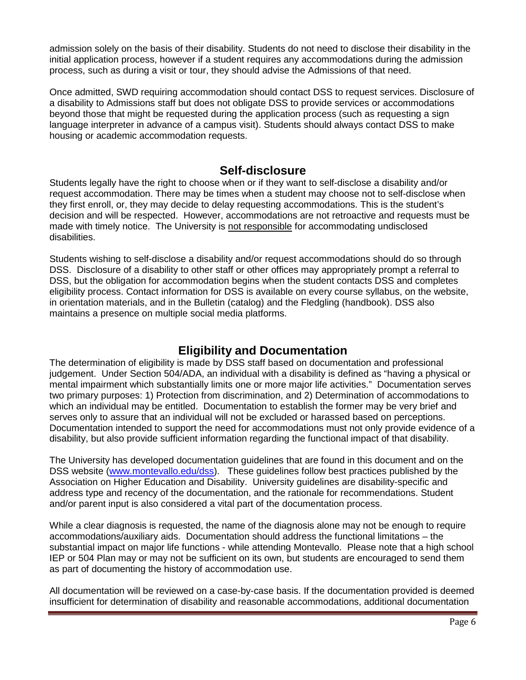admission solely on the basis of their disability. Students do not need to disclose their disability in the initial application process, however if a student requires any accommodations during the admission process, such as during a visit or tour, they should advise the Admissions of that need.

Once admitted, SWD requiring accommodation should contact DSS to request services. Disclosure of a disability to Admissions staff but does not obligate DSS to provide services or accommodations beyond those that might be requested during the application process (such as requesting a sign language interpreter in advance of a campus visit). Students should always contact DSS to make housing or academic accommodation requests.

## **Self-disclosure**

<span id="page-5-0"></span>Students legally have the right to choose when or if they want to self-disclose a disability and/or request accommodation. There may be times when a student may choose not to self-disclose when they first enroll, or, they may decide to delay requesting accommodations. This is the student's decision and will be respected. However, accommodations are not retroactive and requests must be made with timely notice. The University is not responsible for accommodating undisclosed disabilities.

Students wishing to self-disclose a disability and/or request accommodations should do so through DSS. Disclosure of a disability to other staff or other offices may appropriately prompt a referral to DSS, but the obligation for accommodation begins when the student contacts DSS and completes eligibility process. Contact information for DSS is available on every course syllabus, on the website, in orientation materials, and in the Bulletin (catalog) and the Fledgling (handbook). DSS also maintains a presence on multiple social media platforms.

# **Eligibility and Documentation**

<span id="page-5-1"></span>The determination of eligibility is made by DSS staff based on documentation and professional judgement. Under Section 504/ADA, an individual with a disability is defined as "having a physical or mental impairment which substantially limits one or more major life activities." Documentation serves two primary purposes: 1) Protection from discrimination, and 2) Determination of accommodations to which an individual may be entitled. Documentation to establish the former may be very brief and serves only to assure that an individual will not be excluded or harassed based on perceptions. Documentation intended to support the need for accommodations must not only provide evidence of a disability, but also provide sufficient information regarding the functional impact of that disability.

The University has developed documentation guidelines that are found in this document and on the DSS website [\(www.montevallo.edu/dss\)](http://www.montevallo.edu/dss). These guidelines follow best practices published by the Association on Higher Education and Disability. University guidelines are disability-specific and address type and recency of the documentation, and the rationale for recommendations. Student and/or parent input is also considered a vital part of the documentation process.

While a clear diagnosis is requested, the name of the diagnosis alone may not be enough to require accommodations/auxiliary aids. Documentation should address the functional limitations – the substantial impact on major life functions - while attending Montevallo. Please note that a high school IEP or 504 Plan may or may not be sufficient on its own, but students are encouraged to send them as part of documenting the history of accommodation use.

All documentation will be reviewed on a case-by-case basis. If the documentation provided is deemed insufficient for determination of disability and reasonable accommodations, additional documentation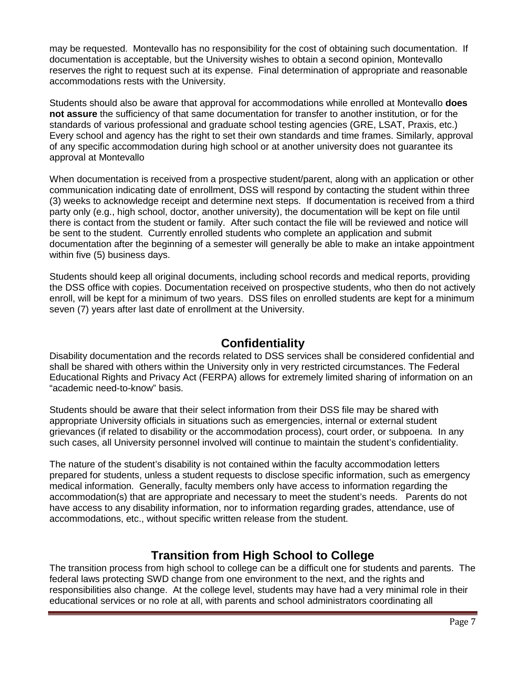may be requested. Montevallo has no responsibility for the cost of obtaining such documentation. If documentation is acceptable, but the University wishes to obtain a second opinion, Montevallo reserves the right to request such at its expense. Final determination of appropriate and reasonable accommodations rests with the University.

Students should also be aware that approval for accommodations while enrolled at Montevallo **does not assure** the sufficiency of that same documentation for transfer to another institution, or for the standards of various professional and graduate school testing agencies (GRE, LSAT, Praxis, etc.) Every school and agency has the right to set their own standards and time frames. Similarly, approval of any specific accommodation during high school or at another university does not guarantee its approval at Montevallo

When documentation is received from a prospective student/parent, along with an application or other communication indicating date of enrollment, DSS will respond by contacting the student within three (3) weeks to acknowledge receipt and determine next steps. If documentation is received from a third party only (e.g., high school, doctor, another university), the documentation will be kept on file until there is contact from the student or family. After such contact the file will be reviewed and notice will be sent to the student. Currently enrolled students who complete an application and submit documentation after the beginning of a semester will generally be able to make an intake appointment within five (5) business days.

Students should keep all original documents, including school records and medical reports, providing the DSS office with copies. Documentation received on prospective students, who then do not actively enroll, will be kept for a minimum of two years. DSS files on enrolled students are kept for a minimum seven (7) years after last date of enrollment at the University.

## **Confidentiality**

<span id="page-6-0"></span>Disability documentation and the records related to DSS services shall be considered confidential and shall be shared with others within the University only in very restricted circumstances. The Federal Educational Rights and Privacy Act (FERPA) allows for extremely limited sharing of information on an "academic need-to-know" basis.

Students should be aware that their select information from their DSS file may be shared with appropriate University officials in situations such as emergencies, internal or external student grievances (if related to disability or the accommodation process), court order, or subpoena. In any such cases, all University personnel involved will continue to maintain the student's confidentiality.

The nature of the student's disability is not contained within the faculty accommodation letters prepared for students, unless a student requests to disclose specific information, such as emergency medical information. Generally, faculty members only have access to information regarding the accommodation(s) that are appropriate and necessary to meet the student's needs. Parents do not have access to any disability information, nor to information regarding grades, attendance, use of accommodations, etc., without specific written release from the student.

# **Transition from High School to College**

<span id="page-6-1"></span>The transition process from high school to college can be a difficult one for students and parents. The federal laws protecting SWD change from one environment to the next, and the rights and responsibilities also change. At the college level, students may have had a very minimal role in their educational services or no role at all, with parents and school administrators coordinating all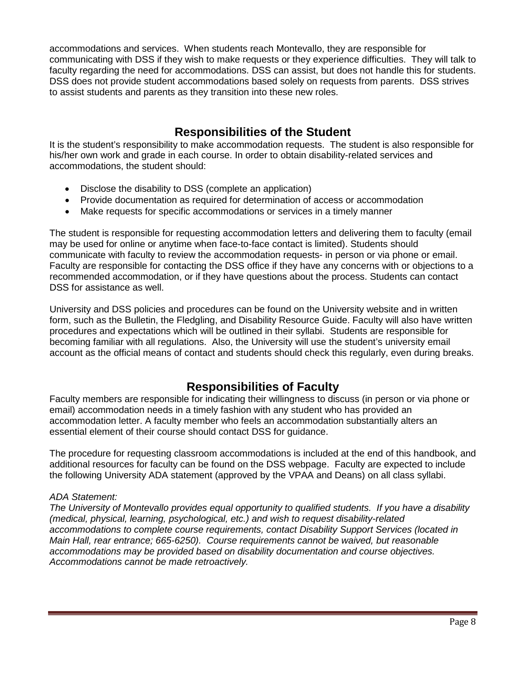accommodations and services. When students reach Montevallo, they are responsible for communicating with DSS if they wish to make requests or they experience difficulties. They will talk to faculty regarding the need for accommodations. DSS can assist, but does not handle this for students. DSS does not provide student accommodations based solely on requests from parents. DSS strives to assist students and parents as they transition into these new roles.

# **Responsibilities of the Student**

<span id="page-7-0"></span>It is the student's responsibility to make accommodation requests. The student is also responsible for his/her own work and grade in each course. In order to obtain disability-related services and accommodations, the student should:

- Disclose the disability to DSS (complete an application)
- Provide documentation as required for determination of access or accommodation
- Make requests for specific accommodations or services in a timely manner

The student is responsible for requesting accommodation letters and delivering them to faculty (email may be used for online or anytime when face-to-face contact is limited). Students should communicate with faculty to review the accommodation requests- in person or via phone or email. Faculty are responsible for contacting the DSS office if they have any concerns with or objections to a recommended accommodation, or if they have questions about the process. Students can contact DSS for assistance as well.

University and DSS policies and procedures can be found on the University website and in written form, such as the Bulletin, the Fledgling, and Disability Resource Guide. Faculty will also have written procedures and expectations which will be outlined in their syllabi. Students are responsible for becoming familiar with all regulations. Also, the University will use the student's university email account as the official means of contact and students should check this regularly, even during breaks.

# **Responsibilities of Faculty**

<span id="page-7-1"></span>Faculty members are responsible for indicating their willingness to discuss (in person or via phone or email) accommodation needs in a timely fashion with any student who has provided an accommodation letter. A faculty member who feels an accommodation substantially alters an essential element of their course should contact DSS for guidance.

The procedure for requesting classroom accommodations is included at the end of this handbook, and additional resources for faculty can be found on the DSS webpage. Faculty are expected to include the following University ADA statement (approved by the VPAA and Deans) on all class syllabi.

#### *ADA Statement:*

*The University of Montevallo provides equal opportunity to qualified students. If you have a disability (medical, physical, learning, psychological, etc.) and wish to request disability-related accommodations to complete course requirements, contact Disability Support Services (located in Main Hall, rear entrance; 665-6250). Course requirements cannot be waived, but reasonable accommodations may be provided based on disability documentation and course objectives. Accommodations cannot be made retroactively.*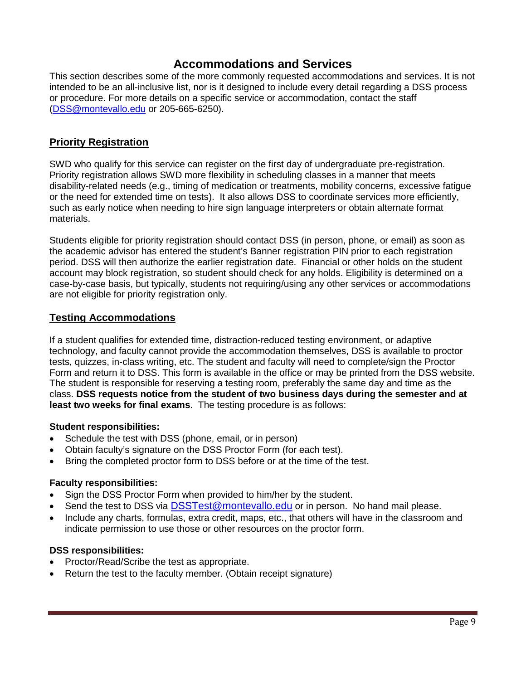# **Accommodations and Services**

<span id="page-8-0"></span>This section describes some of the more commonly requested accommodations and services. It is not intended to be an all-inclusive list, nor is it designed to include every detail regarding a DSS process or procedure. For more details on a specific service or accommodation, contact the staff [\(DSS@montevallo.edu](mailto:DSS@montevallo.edu) or 205-665-6250).

## <span id="page-8-1"></span>**Priority Registration**

SWD who qualify for this service can register on the first day of undergraduate pre-registration. Priority registration allows SWD more flexibility in scheduling classes in a manner that meets disability-related needs (e.g., timing of medication or treatments, mobility concerns, excessive fatigue or the need for extended time on tests). It also allows DSS to coordinate services more efficiently, such as early notice when needing to hire sign language interpreters or obtain alternate format materials.

Students eligible for priority registration should contact DSS (in person, phone, or email) as soon as the academic advisor has entered the student's Banner registration PIN prior to each registration period. DSS will then authorize the earlier registration date. Financial or other holds on the student account may block registration, so student should check for any holds. Eligibility is determined on a case-by-case basis, but typically, students not requiring/using any other services or accommodations are not eligible for priority registration only.

## <span id="page-8-2"></span>**Testing Accommodations**

If a student qualifies for extended time, distraction-reduced testing environment, or adaptive technology, and faculty cannot provide the accommodation themselves, DSS is available to proctor tests, quizzes, in-class writing, etc. The student and faculty will need to complete/sign the Proctor Form and return it to DSS. This form is available in the office or may be printed from the DSS website. The student is responsible for reserving a testing room, preferably the same day and time as the class. **DSS requests notice from the student of two business days during the semester and at least two weeks for final exams**. The testing procedure is as follows:

#### <span id="page-8-3"></span>**Student responsibilities:**

- Schedule the test with DSS (phone, email, or in person)
- Obtain faculty's signature on the DSS Proctor Form (for each test).
- Bring the completed proctor form to DSS before or at the time of the test.

#### <span id="page-8-4"></span>**Faculty responsibilities:**

- Sign the DSS Proctor Form when provided to him/her by the student.
- Send the test to DSS via [DSSTest@montevallo.edu](mailto:DSSTest@montevallo.edu) or in person. No hand mail please.
- Include any charts, formulas, extra credit, maps, etc., that others will have in the classroom and indicate permission to use those or other resources on the proctor form.

#### <span id="page-8-5"></span>**DSS responsibilities:**

- Proctor/Read/Scribe the test as appropriate.
- Return the test to the faculty member. (Obtain receipt signature)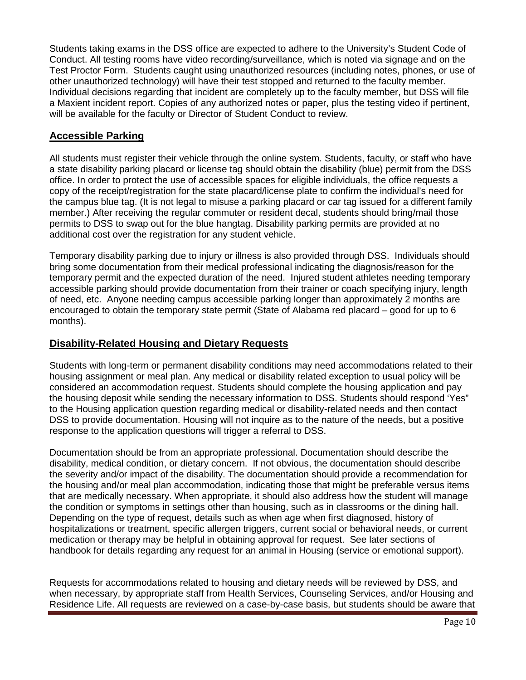Students taking exams in the DSS office are expected to adhere to the University's Student Code of Conduct. All testing rooms have video recording/surveillance, which is noted via signage and on the Test Proctor Form. Students caught using unauthorized resources (including notes, phones, or use of other unauthorized technology) will have their test stopped and returned to the faculty member. Individual decisions regarding that incident are completely up to the faculty member, but DSS will file a Maxient incident report. Copies of any authorized notes or paper, plus the testing video if pertinent, will be available for the faculty or Director of Student Conduct to review.

## <span id="page-9-0"></span>**Accessible Parking**

All students must register their vehicle through the online system. Students, faculty, or staff who have a state disability parking placard or license tag should obtain the disability (blue) permit from the DSS office. In order to protect the use of accessible spaces for eligible individuals, the office requests a copy of the receipt/registration for the state placard/license plate to confirm the individual's need for the campus blue tag. (It is not legal to misuse a parking placard or car tag issued for a different family member.) After receiving the regular commuter or resident decal, students should bring/mail those permits to DSS to swap out for the blue hangtag. Disability parking permits are provided at no additional cost over the registration for any student vehicle.

Temporary disability parking due to injury or illness is also provided through DSS. Individuals should bring some documentation from their medical professional indicating the diagnosis/reason for the temporary permit and the expected duration of the need. Injured student athletes needing temporary accessible parking should provide documentation from their trainer or coach specifying injury, length of need, etc. Anyone needing campus accessible parking longer than approximately 2 months are encouraged to obtain the temporary state permit (State of Alabama red placard – good for up to 6 months).

## <span id="page-9-1"></span>**Disability-Related Housing and Dietary Requests**

Students with long-term or permanent disability conditions may need accommodations related to their housing assignment or meal plan. Any medical or disability related exception to usual policy will be considered an accommodation request. Students should complete the housing application and pay the housing deposit while sending the necessary information to DSS. Students should respond 'Yes" to the Housing application question regarding medical or disability-related needs and then contact DSS to provide documentation. Housing will not inquire as to the nature of the needs, but a positive response to the application questions will trigger a referral to DSS.

Documentation should be from an appropriate professional. Documentation should describe the disability, medical condition, or dietary concern. If not obvious, the documentation should describe the severity and/or impact of the disability. The documentation should provide a recommendation for the housing and/or meal plan accommodation, indicating those that might be preferable versus items that are medically necessary. When appropriate, it should also address how the student will manage the condition or symptoms in settings other than housing, such as in classrooms or the dining hall. Depending on the type of request, details such as when age when first diagnosed, history of hospitalizations or treatment, specific allergen triggers, current social or behavioral needs, or current medication or therapy may be helpful in obtaining approval for request. See later sections of handbook for details regarding any request for an animal in Housing (service or emotional support).

Requests for accommodations related to housing and dietary needs will be reviewed by DSS, and when necessary, by appropriate staff from Health Services, Counseling Services, and/or Housing and Residence Life. All requests are reviewed on a case-by-case basis, but students should be aware that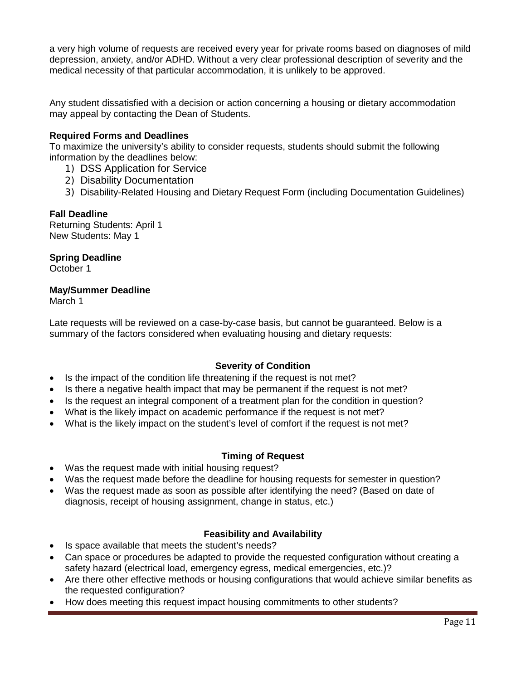a very high volume of requests are received every year for private rooms based on diagnoses of mild depression, anxiety, and/or ADHD. Without a very clear professional description of severity and the medical necessity of that particular accommodation, it is unlikely to be approved.

Any student dissatisfied with a decision or action concerning a housing or dietary accommodation may appeal by contacting the Dean of Students.

### <span id="page-10-0"></span>**Required Forms and Deadlines**

To maximize the university's ability to consider requests, students should submit the following information by the deadlines below:

- 1) DSS Application for Service
- 2) Disability Documentation
- 3) Disability-Related Housing and Dietary Request Form (including Documentation Guidelines)

#### **Fall Deadline**

Returning Students: April 1 New Students: May 1

#### **Spring Deadline**

October 1

#### **May/Summer Deadline**

March 1

Late requests will be reviewed on a case-by-case basis, but cannot be guaranteed. Below is a summary of the factors considered when evaluating housing and dietary requests:

#### **Severity of Condition**

- Is the impact of the condition life threatening if the request is not met?
- Is there a negative health impact that may be permanent if the request is not met?
- Is the request an integral component of a treatment plan for the condition in question?
- What is the likely impact on academic performance if the request is not met?
- What is the likely impact on the student's level of comfort if the request is not met?

#### **Timing of Request**

- Was the request made with initial housing request?
- Was the request made before the deadline for housing requests for semester in question?
- Was the request made as soon as possible after identifying the need? (Based on date of diagnosis, receipt of housing assignment, change in status, etc.)

## **Feasibility and Availability**

- Is space available that meets the student's needs?
- Can space or procedures be adapted to provide the requested configuration without creating a safety hazard (electrical load, emergency egress, medical emergencies, etc.)?
- Are there other effective methods or housing configurations that would achieve similar benefits as the requested configuration?
- How does meeting this request impact housing commitments to other students?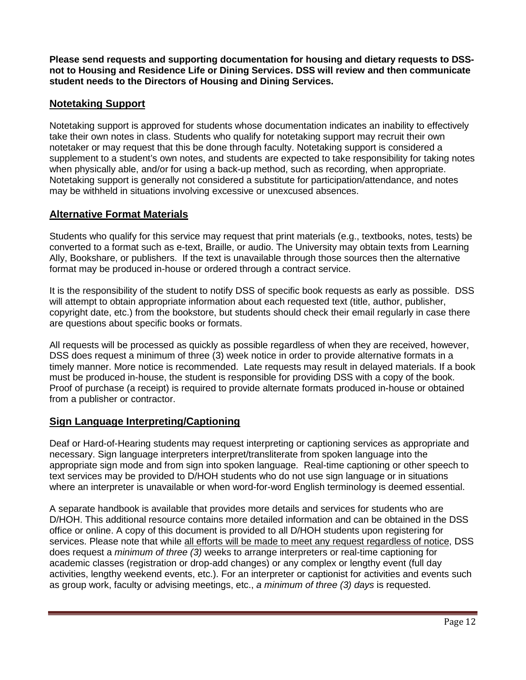**Please send requests and supporting documentation for housing and dietary requests to DSSnot to Housing and Residence Life or Dining Services. DSS will review and then communicate student needs to the Directors of Housing and Dining Services.**

## <span id="page-11-0"></span>**Notetaking Support**

Notetaking support is approved for students whose documentation indicates an inability to effectively take their own notes in class. Students who qualify for notetaking support may recruit their own notetaker or may request that this be done through faculty. Notetaking support is considered a supplement to a student's own notes, and students are expected to take responsibility for taking notes when physically able, and/or for using a back-up method, such as recording, when appropriate. Notetaking support is generally not considered a substitute for participation/attendance, and notes may be withheld in situations involving excessive or unexcused absences.

## <span id="page-11-1"></span>**Alternative Format Materials**

Students who qualify for this service may request that print materials (e.g., textbooks, notes, tests) be converted to a format such as e-text, Braille, or audio. The University may obtain texts from Learning Ally, Bookshare, or publishers. If the text is unavailable through those sources then the alternative format may be produced in-house or ordered through a contract service.

It is the responsibility of the student to notify DSS of specific book requests as early as possible. DSS will attempt to obtain appropriate information about each requested text (title, author, publisher, copyright date, etc.) from the bookstore, but students should check their email regularly in case there are questions about specific books or formats.

All requests will be processed as quickly as possible regardless of when they are received, however, DSS does request a minimum of three (3) week notice in order to provide alternative formats in a timely manner. More notice is recommended. Late requests may result in delayed materials. If a book must be produced in-house, the student is responsible for providing DSS with a copy of the book. Proof of purchase (a receipt) is required to provide alternate formats produced in-house or obtained from a publisher or contractor.

## <span id="page-11-2"></span>**Sign Language Interpreting/Captioning**

Deaf or Hard-of-Hearing students may request interpreting or captioning services as appropriate and necessary. Sign language interpreters interpret/transliterate from spoken language into the appropriate sign mode and from sign into spoken language. Real-time captioning or other speech to text services may be provided to D/HOH students who do not use sign language or in situations where an interpreter is unavailable or when word-for-word English terminology is deemed essential.

A separate handbook is available that provides more details and services for students who are D/HOH. This additional resource contains more detailed information and can be obtained in the DSS office or online. A copy of this document is provided to all D/HOH students upon registering for services. Please note that while all efforts will be made to meet any request regardless of notice, DSS does request a *minimum of three (3)* weeks to arrange interpreters or real-time captioning for academic classes (registration or drop-add changes) or any complex or lengthy event (full day activities, lengthy weekend events, etc.). For an interpreter or captionist for activities and events such as group work, faculty or advising meetings, etc., *a minimum of three (3) days* is requested.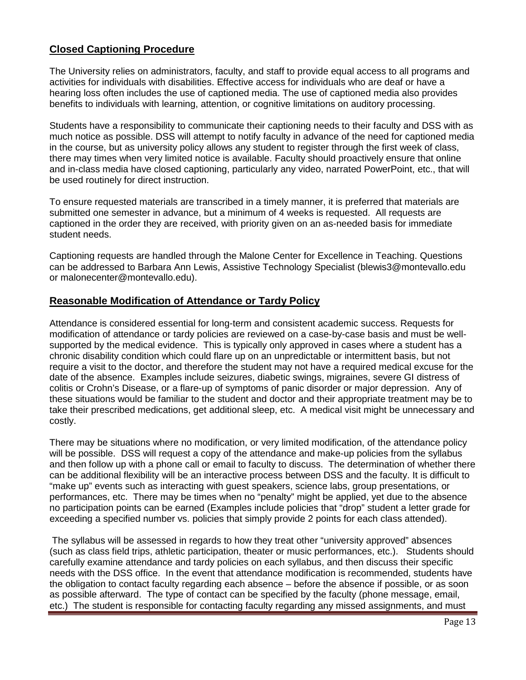## <span id="page-12-0"></span>**Closed Captioning Procedure**

The University relies on administrators, faculty, and staff to provide equal access to all programs and activities for individuals with disabilities. Effective access for individuals who are deaf or have a hearing loss often includes the use of captioned media. The use of captioned media also provides benefits to individuals with learning, attention, or cognitive limitations on auditory processing.

Students have a responsibility to communicate their captioning needs to their faculty and DSS with as much notice as possible. DSS will attempt to notify faculty in advance of the need for captioned media in the course, but as university policy allows any student to register through the first week of class, there may times when very limited notice is available. Faculty should proactively ensure that online and in-class media have closed captioning, particularly any video, narrated PowerPoint, etc., that will be used routinely for direct instruction.

To ensure requested materials are transcribed in a timely manner, it is preferred that materials are submitted one semester in advance, but a minimum of 4 weeks is requested. All requests are captioned in the order they are received, with priority given on an as-needed basis for immediate student needs.

Captioning requests are handled through the Malone Center for Excellence in Teaching. Questions can be addressed to Barbara Ann Lewis, Assistive Technology Specialist (blewis3@montevallo.edu or malonecenter@montevallo.edu).

## <span id="page-12-1"></span>**Reasonable Modification of Attendance or Tardy Policy**

Attendance is considered essential for long-term and consistent academic success. Requests for modification of attendance or tardy policies are reviewed on a case-by-case basis and must be wellsupported by the medical evidence. This is typically only approved in cases where a student has a chronic disability condition which could flare up on an unpredictable or intermittent basis, but not require a visit to the doctor, and therefore the student may not have a required medical excuse for the date of the absence. Examples include seizures, diabetic swings, migraines, severe GI distress of colitis or Crohn's Disease, or a flare-up of symptoms of panic disorder or major depression. Any of these situations would be familiar to the student and doctor and their appropriate treatment may be to take their prescribed medications, get additional sleep, etc. A medical visit might be unnecessary and costly.

There may be situations where no modification, or very limited modification, of the attendance policy will be possible. DSS will request a copy of the attendance and make-up policies from the syllabus and then follow up with a phone call or email to faculty to discuss. The determination of whether there can be additional flexibility will be an interactive process between DSS and the faculty. It is difficult to "make up" events such as interacting with guest speakers, science labs, group presentations, or performances, etc. There may be times when no "penalty" might be applied, yet due to the absence no participation points can be earned (Examples include policies that "drop" student a letter grade for exceeding a specified number vs. policies that simply provide 2 points for each class attended).

The syllabus will be assessed in regards to how they treat other "university approved" absences (such as class field trips, athletic participation, theater or music performances, etc.). Students should carefully examine attendance and tardy policies on each syllabus, and then discuss their specific needs with the DSS office. In the event that attendance modification is recommended, students have the obligation to contact faculty regarding each absence – before the absence if possible, or as soon as possible afterward. The type of contact can be specified by the faculty (phone message, email, etc.) The student is responsible for contacting faculty regarding any missed assignments, and must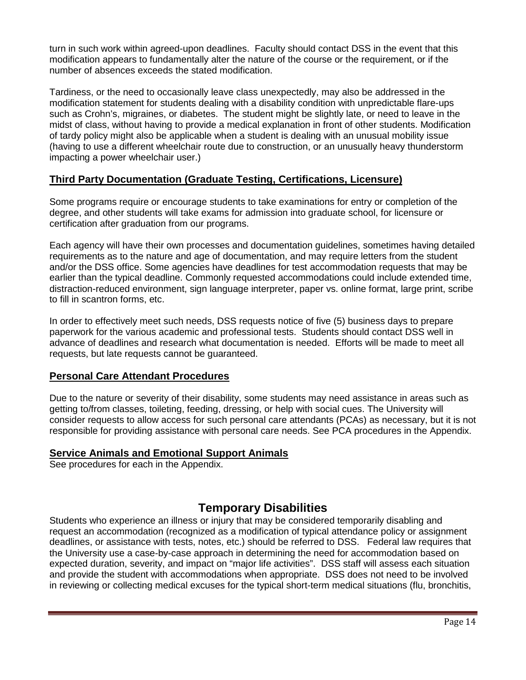turn in such work within agreed-upon deadlines. Faculty should contact DSS in the event that this modification appears to fundamentally alter the nature of the course or the requirement, or if the number of absences exceeds the stated modification.

Tardiness, or the need to occasionally leave class unexpectedly, may also be addressed in the modification statement for students dealing with a disability condition with unpredictable flare-ups such as Crohn's, migraines, or diabetes. The student might be slightly late, or need to leave in the midst of class, without having to provide a medical explanation in front of other students. Modification of tardy policy might also be applicable when a student is dealing with an unusual mobility issue (having to use a different wheelchair route due to construction, or an unusually heavy thunderstorm impacting a power wheelchair user.)

## <span id="page-13-0"></span>**Third Party Documentation (Graduate Testing, Certifications, Licensure)**

Some programs require or encourage students to take examinations for entry or completion of the degree, and other students will take exams for admission into graduate school, for licensure or certification after graduation from our programs.

Each agency will have their own processes and documentation guidelines, sometimes having detailed requirements as to the nature and age of documentation, and may require letters from the student and/or the DSS office. Some agencies have deadlines for test accommodation requests that may be earlier than the typical deadline. Commonly requested accommodations could include extended time, distraction-reduced environment, sign language interpreter, paper vs. online format, large print, scribe to fill in scantron forms, etc.

In order to effectively meet such needs, DSS requests notice of five (5) business days to prepare paperwork for the various academic and professional tests. Students should contact DSS well in advance of deadlines and research what documentation is needed. Efforts will be made to meet all requests, but late requests cannot be guaranteed.

## <span id="page-13-1"></span>**Personal Care Attendant Procedures**

Due to the nature or severity of their disability, some students may need assistance in areas such as getting to/from classes, toileting, feeding, dressing, or help with social cues. The University will consider requests to allow access for such personal care attendants (PCAs) as necessary, but it is not responsible for providing assistance with personal care needs. See PCA procedures in the Appendix.

## <span id="page-13-2"></span>**Service Animals and Emotional Support Animals**

See procedures for each in the Appendix.

# **Temporary Disabilities**

<span id="page-13-3"></span>Students who experience an illness or injury that may be considered temporarily disabling and request an accommodation (recognized as a modification of typical attendance policy or assignment deadlines, or assistance with tests, notes, etc.) should be referred to DSS. Federal law requires that the University use a case-by-case approach in determining the need for accommodation based on expected duration, severity, and impact on "major life activities". DSS staff will assess each situation and provide the student with accommodations when appropriate. DSS does not need to be involved in reviewing or collecting medical excuses for the typical short-term medical situations (flu, bronchitis,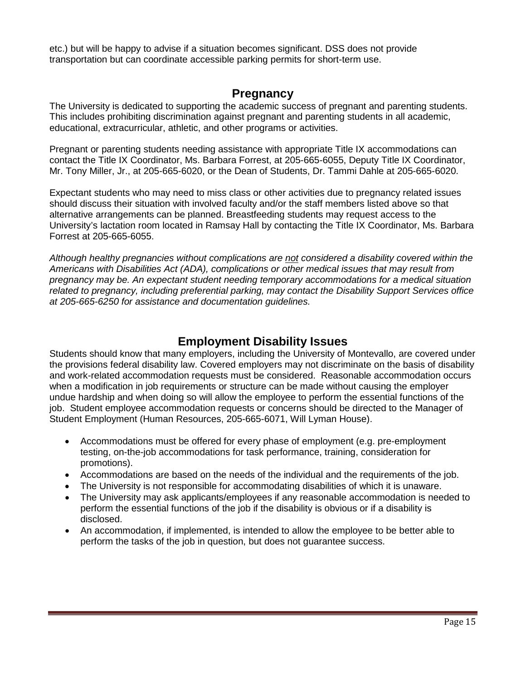etc.) but will be happy to advise if a situation becomes significant. DSS does not provide transportation but can coordinate accessible parking permits for short-term use.

## **Pregnancy**

<span id="page-14-0"></span>The University is dedicated to supporting the academic success of pregnant and parenting students. This includes prohibiting discrimination against pregnant and parenting students in all academic, educational, extracurricular, athletic, and other programs or activities.

Pregnant or parenting students needing assistance with appropriate Title IX accommodations can contact the Title IX Coordinator, Ms. Barbara Forrest, at 205-665-6055, Deputy Title IX Coordinator, Mr. Tony Miller, Jr., at 205-665-6020, or the Dean of Students, Dr. Tammi Dahle at 205-665-6020.

Expectant students who may need to miss class or other activities due to pregnancy related issues should discuss their situation with involved faculty and/or the staff members listed above so that alternative arrangements can be planned. Breastfeeding students may request access to the University's lactation room located in Ramsay Hall by contacting the Title IX Coordinator, Ms. Barbara Forrest at 205-665-6055.

*Although healthy pregnancies without complications are not considered a disability covered within the Americans with Disabilities Act (ADA), complications or other medical issues that may result from pregnancy may be. An expectant student needing temporary accommodations for a medical situation related to pregnancy, including preferential parking, may contact the Disability Support Services office at 205-665-6250 for assistance and documentation guidelines.*

## **Employment Disability Issues**

<span id="page-14-1"></span>Students should know that many employers, including the University of Montevallo, are covered under the provisions federal disability law. Covered employers may not discriminate on the basis of disability and work-related accommodation requests must be considered. Reasonable accommodation occurs when a modification in job requirements or structure can be made without causing the employer undue hardship and when doing so will allow the employee to perform the essential functions of the job. Student employee accommodation requests or concerns should be directed to the Manager of Student Employment (Human Resources, 205-665-6071, Will Lyman House).

- Accommodations must be offered for every phase of employment (e.g. pre-employment testing, on-the-job accommodations for task performance, training, consideration for promotions).
- Accommodations are based on the needs of the individual and the requirements of the job.
- The University is not responsible for accommodating disabilities of which it is unaware.
- The University may ask applicants/employees if any reasonable accommodation is needed to perform the essential functions of the job if the disability is obvious or if a disability is disclosed.
- <span id="page-14-2"></span>• An accommodation, if implemented, is intended to allow the employee to be better able to perform the tasks of the job in question, but does not guarantee success.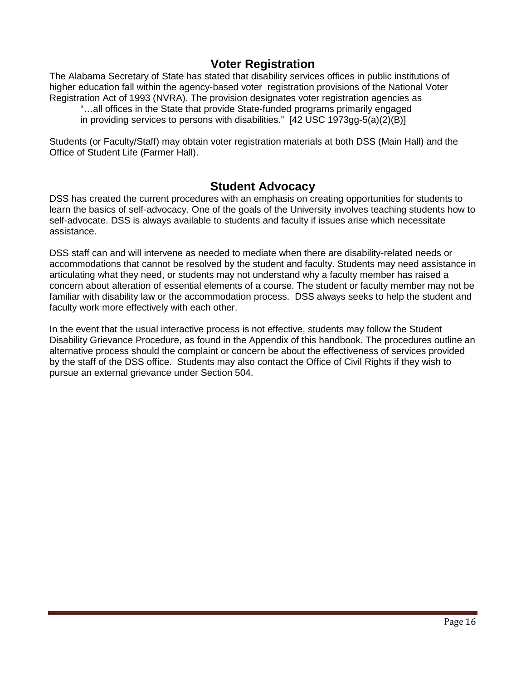## **Voter Registration**

The Alabama Secretary of State has stated that disability services offices in public institutions of higher education fall within the agency-based voter registration provisions of the National Voter Registration Act of 1993 (NVRA). The provision designates voter registration agencies as

"…all offices in the State that provide State-funded programs primarily engaged

in providing services to persons with disabilities."  $[42 \overline{C} S^2 + 12 \overline{C} S^2 + 12 \overline{C} S^2 + 12 \overline{C} S^2 + 12 \overline{C} S^2 + 12 \overline{C} S^2 + 12 \overline{C} S^2 + 12 \overline{C} S^2 + 12 \overline{C} S^2 + 12 \overline{C} S^2 + 12 \overline{C} S^2 + 12 \overline{C} S^2 + 12 \overline{C} S^$ 

Students (or Faculty/Staff) may obtain voter registration materials at both DSS (Main Hall) and the Office of Student Life (Farmer Hall).

## **Student Advocacy**

<span id="page-15-0"></span>DSS has created the current procedures with an emphasis on creating opportunities for students to learn the basics of self-advocacy. One of the goals of the University involves teaching students how to self-advocate. DSS is always available to students and faculty if issues arise which necessitate assistance.

DSS staff can and will intervene as needed to mediate when there are disability-related needs or accommodations that cannot be resolved by the student and faculty. Students may need assistance in articulating what they need, or students may not understand why a faculty member has raised a concern about alteration of essential elements of a course. The student or faculty member may not be familiar with disability law or the accommodation process. DSS always seeks to help the student and faculty work more effectively with each other.

In the event that the usual interactive process is not effective, students may follow the Student Disability Grievance Procedure, as found in the Appendix of this handbook. The procedures outline an alternative process should the complaint or concern be about the effectiveness of services provided by the staff of the DSS office. Students may also contact the Office of Civil Rights if they wish to pursue an external grievance under Section 504.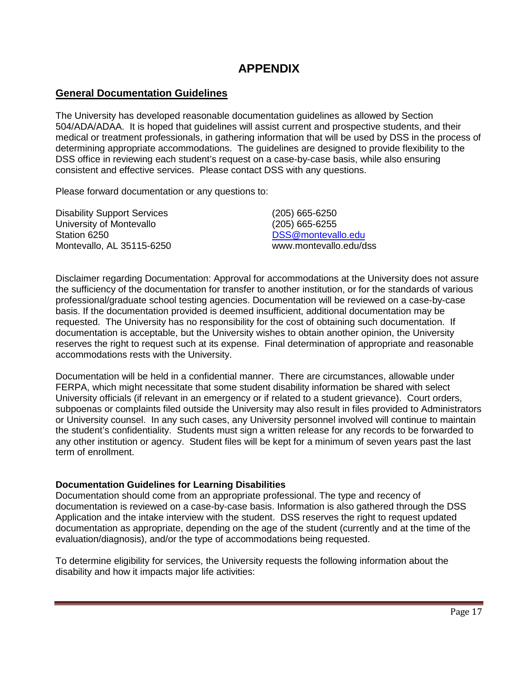# **APPENDIX**

## <span id="page-16-1"></span><span id="page-16-0"></span>**General Documentation Guidelines**

The University has developed reasonable documentation guidelines as allowed by Section 504/ADA/ADAA. It is hoped that guidelines will assist current and prospective students, and their medical or treatment professionals, in gathering information that will be used by DSS in the process of determining appropriate accommodations. The guidelines are designed to provide flexibility to the DSS office in reviewing each student's request on a case-by-case basis, while also ensuring consistent and effective services. Please contact DSS with any questions.

Please forward documentation or any questions to:

| <b>Disability Support Services</b> | $(205)$ 665-6250       |
|------------------------------------|------------------------|
| University of Montevallo           | $(205)$ 665-6255       |
| Station 6250                       | DSS@montevallo.edu     |
| Montevallo, AL 35115-6250          | www.montevallo.edu/dss |

Disclaimer regarding Documentation: Approval for accommodations at the University does not assure the sufficiency of the documentation for transfer to another institution, or for the standards of various professional/graduate school testing agencies. Documentation will be reviewed on a case-by-case basis. If the documentation provided is deemed insufficient, additional documentation may be requested. The University has no responsibility for the cost of obtaining such documentation. If documentation is acceptable, but the University wishes to obtain another opinion, the University reserves the right to request such at its expense. Final determination of appropriate and reasonable accommodations rests with the University.

Documentation will be held in a confidential manner. There are circumstances, allowable under FERPA, which might necessitate that some student disability information be shared with select University officials (if relevant in an emergency or if related to a student grievance). Court orders, subpoenas or complaints filed outside the University may also result in files provided to Administrators or University counsel. In any such cases, any University personnel involved will continue to maintain the student's confidentiality. Students must sign a written release for any records to be forwarded to any other institution or agency. Student files will be kept for a minimum of seven years past the last term of enrollment.

#### <span id="page-16-2"></span>**Documentation Guidelines for Learning Disabilities**

Documentation should come from an appropriate professional. The type and recency of documentation is reviewed on a case-by-case basis. Information is also gathered through the DSS Application and the intake interview with the student. DSS reserves the right to request updated documentation as appropriate, depending on the age of the student (currently and at the time of the evaluation/diagnosis), and/or the type of accommodations being requested.

To determine eligibility for services, the University requests the following information about the disability and how it impacts major life activities: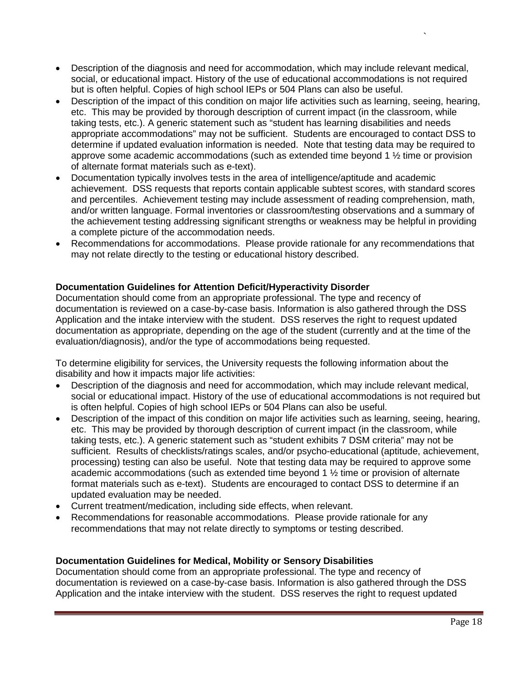- Description of the diagnosis and need for accommodation, which may include relevant medical, social, or educational impact. History of the use of educational accommodations is not required but is often helpful. Copies of high school IEPs or 504 Plans can also be useful.
- Description of the impact of this condition on major life activities such as learning, seeing, hearing, etc. This may be provided by thorough description of current impact (in the classroom, while taking tests, etc.). A generic statement such as "student has learning disabilities and needs appropriate accommodations" may not be sufficient. Students are encouraged to contact DSS to determine if updated evaluation information is needed. Note that testing data may be required to approve some academic accommodations (such as extended time beyond 1 ½ time or provision of alternate format materials such as e-text).
- Documentation typically involves tests in the area of intelligence/aptitude and academic achievement. DSS requests that reports contain applicable subtest scores, with standard scores and percentiles. Achievement testing may include assessment of reading comprehension, math, and/or written language. Formal inventories or classroom/testing observations and a summary of the achievement testing addressing significant strengths or weakness may be helpful in providing a complete picture of the accommodation needs.
- Recommendations for accommodations. Please provide rationale for any recommendations that may not relate directly to the testing or educational history described.

## <span id="page-17-0"></span>**Documentation Guidelines for Attention Deficit/Hyperactivity Disorder**

Documentation should come from an appropriate professional. The type and recency of documentation is reviewed on a case-by-case basis. Information is also gathered through the DSS Application and the intake interview with the student. DSS reserves the right to request updated documentation as appropriate, depending on the age of the student (currently and at the time of the evaluation/diagnosis), and/or the type of accommodations being requested.

To determine eligibility for services, the University requests the following information about the disability and how it impacts major life activities:

- Description of the diagnosis and need for accommodation, which may include relevant medical, social or educational impact. History of the use of educational accommodations is not required but is often helpful. Copies of high school IEPs or 504 Plans can also be useful.
- Description of the impact of this condition on major life activities such as learning, seeing, hearing, etc. This may be provided by thorough description of current impact (in the classroom, while taking tests, etc.). A generic statement such as "student exhibits 7 DSM criteria" may not be sufficient. Results of checklists/ratings scales, and/or psycho-educational (aptitude, achievement, processing) testing can also be useful. Note that testing data may be required to approve some academic accommodations (such as extended time beyond 1 ½ time or provision of alternate format materials such as e-text). Students are encouraged to contact DSS to determine if an updated evaluation may be needed.
- Current treatment/medication, including side effects, when relevant.
- Recommendations for reasonable accommodations. Please provide rationale for any recommendations that may not relate directly to symptoms or testing described.

## <span id="page-17-1"></span>**Documentation Guidelines for Medical, Mobility or Sensory Disabilities**

Documentation should come from an appropriate professional. The type and recency of documentation is reviewed on a case-by-case basis. Information is also gathered through the DSS Application and the intake interview with the student. DSS reserves the right to request updated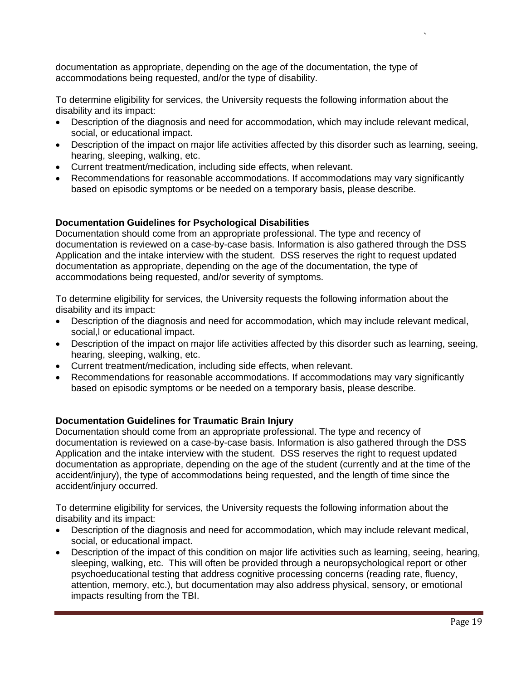documentation as appropriate, depending on the age of the documentation, the type of accommodations being requested, and/or the type of disability.

To determine eligibility for services, the University requests the following information about the disability and its impact:

- Description of the diagnosis and need for accommodation, which may include relevant medical, social, or educational impact.
- Description of the impact on major life activities affected by this disorder such as learning, seeing, hearing, sleeping, walking, etc.
- Current treatment/medication, including side effects, when relevant.
- Recommendations for reasonable accommodations. If accommodations may vary significantly based on episodic symptoms or be needed on a temporary basis, please describe.

#### <span id="page-18-0"></span>**Documentation Guidelines for Psychological Disabilities**

Documentation should come from an appropriate professional. The type and recency of documentation is reviewed on a case-by-case basis. Information is also gathered through the DSS Application and the intake interview with the student. DSS reserves the right to request updated documentation as appropriate, depending on the age of the documentation, the type of accommodations being requested, and/or severity of symptoms.

To determine eligibility for services, the University requests the following information about the disability and its impact:

- Description of the diagnosis and need for accommodation, which may include relevant medical, social,l or educational impact.
- Description of the impact on major life activities affected by this disorder such as learning, seeing, hearing, sleeping, walking, etc.
- Current treatment/medication, including side effects, when relevant.
- Recommendations for reasonable accommodations. If accommodations may vary significantly based on episodic symptoms or be needed on a temporary basis, please describe.

## <span id="page-18-1"></span>**Documentation Guidelines for Traumatic Brain Injury**

Documentation should come from an appropriate professional. The type and recency of documentation is reviewed on a case-by-case basis. Information is also gathered through the DSS Application and the intake interview with the student. DSS reserves the right to request updated documentation as appropriate, depending on the age of the student (currently and at the time of the accident/injury), the type of accommodations being requested, and the length of time since the accident/injury occurred.

To determine eligibility for services, the University requests the following information about the disability and its impact:

- Description of the diagnosis and need for accommodation, which may include relevant medical, social, or educational impact.
- Description of the impact of this condition on major life activities such as learning, seeing, hearing, sleeping, walking, etc. This will often be provided through a neuropsychological report or other psychoeducational testing that address cognitive processing concerns (reading rate, fluency, attention, memory, etc.), but documentation may also address physical, sensory, or emotional impacts resulting from the TBI.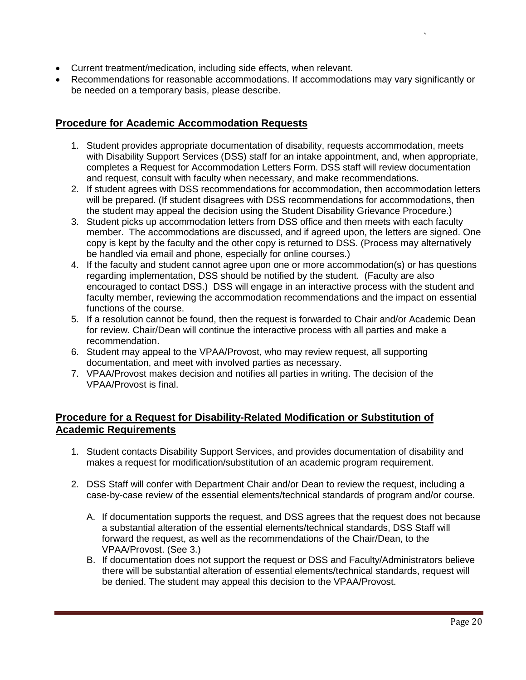- Current treatment/medication, including side effects, when relevant.
- Recommendations for reasonable accommodations. If accommodations may vary significantly or be needed on a temporary basis, please describe.

## <span id="page-19-0"></span>**Procedure for Academic Accommodation Requests**

- 1. Student provides appropriate documentation of disability, requests accommodation, meets with Disability Support Services (DSS) staff for an intake appointment, and, when appropriate, completes a Request for Accommodation Letters Form. DSS staff will review documentation and request, consult with faculty when necessary, and make recommendations.
- 2. If student agrees with DSS recommendations for accommodation, then accommodation letters will be prepared. (If student disagrees with DSS recommendations for accommodations, then the student may appeal the decision using the Student Disability Grievance Procedure.)
- 3. Student picks up accommodation letters from DSS office and then meets with each faculty member. The accommodations are discussed, and if agreed upon, the letters are signed. One copy is kept by the faculty and the other copy is returned to DSS. (Process may alternatively be handled via email and phone, especially for online courses.)
- 4. If the faculty and student cannot agree upon one or more accommodation(s) or has questions regarding implementation, DSS should be notified by the student. (Faculty are also encouraged to contact DSS.) DSS will engage in an interactive process with the student and faculty member, reviewing the accommodation recommendations and the impact on essential functions of the course.
- 5. If a resolution cannot be found, then the request is forwarded to Chair and/or Academic Dean for review. Chair/Dean will continue the interactive process with all parties and make a recommendation.
- 6. Student may appeal to the VPAA/Provost, who may review request, all supporting documentation, and meet with involved parties as necessary.
- 7. VPAA/Provost makes decision and notifies all parties in writing. The decision of the VPAA/Provost is final.

## <span id="page-19-1"></span>**Procedure for a Request for Disability-Related Modification or Substitution of Academic Requirements**

- 1. Student contacts Disability Support Services, and provides documentation of disability and makes a request for modification/substitution of an academic program requirement.
- 2. DSS Staff will confer with Department Chair and/or Dean to review the request, including a case-by-case review of the essential elements/technical standards of program and/or course.
	- A. If documentation supports the request, and DSS agrees that the request does not because a substantial alteration of the essential elements/technical standards, DSS Staff will forward the request, as well as the recommendations of the Chair/Dean, to the VPAA/Provost. (See 3.)
	- B. If documentation does not support the request or DSS and Faculty/Administrators believe there will be substantial alteration of essential elements/technical standards, request will be denied. The student may appeal this decision to the VPAA/Provost.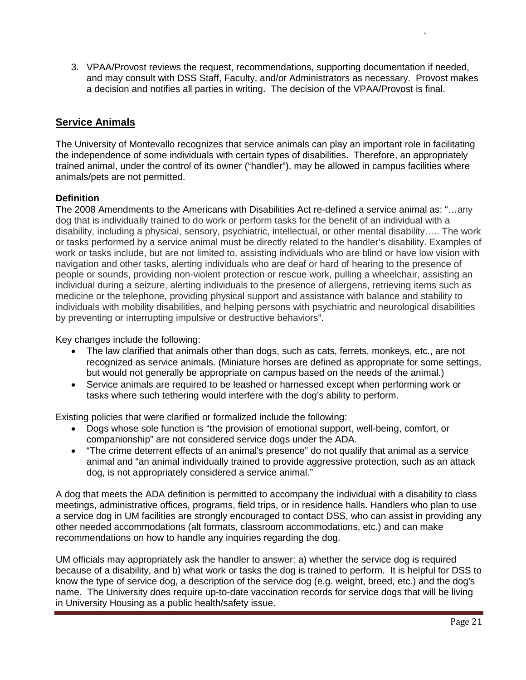3. VPAA/Provost reviews the request, recommendations, supporting documentation if needed, and may consult with DSS Staff, Faculty, and/or Administrators as necessary. Provost makes a decision and notifies all parties in writing. The decision of the VPAA/Provost is final.

`

## <span id="page-20-0"></span>**Service Animals**

The University of Montevallo recognizes that service animals can play an important role in facilitating the independence of some individuals with certain types of disabilities. Therefore, an appropriately trained animal, under the control of its owner ("handler"), may be allowed in campus facilities where animals/pets are not permitted.

#### <span id="page-20-1"></span>**Definition**

The 2008 Amendments to the Americans with Disabilities Act re-defined a service animal as: "…any dog that is individually trained to do work or perform tasks for the benefit of an individual with a disability, including a physical, sensory, psychiatric, intellectual, or other mental disability….. The work or tasks performed by a service animal must be directly related to the handler's disability. Examples of work or tasks include, but are not limited to, assisting individuals who are blind or have low vision with navigation and other tasks, alerting individuals who are deaf or hard of hearing to the presence of people or sounds, providing non-violent protection or rescue work, pulling a wheelchair, assisting an individual during a seizure, alerting individuals to the presence of allergens, retrieving items such as medicine or the telephone, providing physical support and assistance with balance and stability to individuals with mobility disabilities, and helping persons with psychiatric and neurological disabilities by preventing or interrupting impulsive or destructive behaviors".

Key changes include the following:

- The law clarified that animals other than dogs, such as cats, ferrets, monkeys, etc., are not recognized as service animals. (Miniature horses are defined as appropriate for some settings, but would not generally be appropriate on campus based on the needs of the animal.)
- Service animals are required to be leashed or harnessed except when performing work or tasks where such tethering would interfere with the dog's ability to perform.

Existing policies that were clarified or formalized include the following:

- Dogs whose sole function is "the provision of emotional support, well-being, comfort, or companionship" are not considered service dogs under the ADA.
- "The crime deterrent effects of an animal's presence" do not qualify that animal as a service animal and "an animal individually trained to provide aggressive protection, such as an attack dog, is not appropriately considered a service animal."

A dog that meets the ADA definition is permitted to accompany the individual with a disability to class meetings, administrative offices, programs, field trips, or in residence halls. Handlers who plan to use a service dog in UM facilities are strongly encouraged to contact DSS, who can assist in providing any other needed accommodations (alt formats, classroom accommodations, etc.) and can make recommendations on how to handle any inquiries regarding the dog.

UM officials may appropriately ask the handler to answer: a) whether the service dog is required because of a disability, and b) what work or tasks the dog is trained to perform. It is helpful for DSS to know the type of service dog, a description of the service dog (e.g. weight, breed, etc.) and the dog's name. The University does require up-to-date vaccination records for service dogs that will be living in University Housing as a public health/safety issue.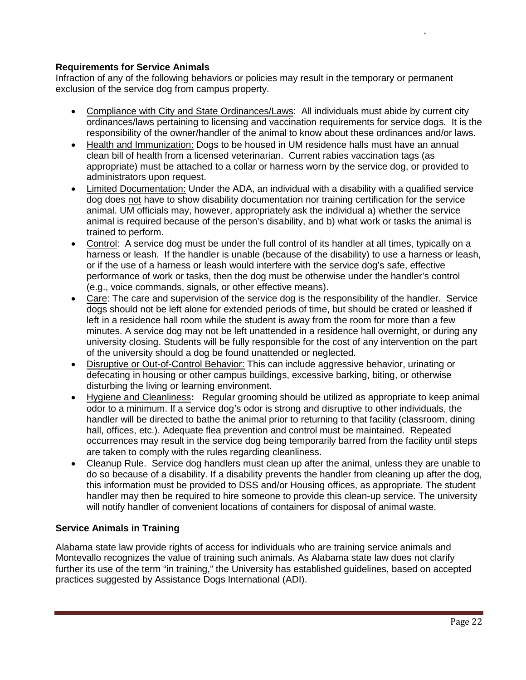## <span id="page-21-0"></span>**Requirements for Service Animals**

Infraction of any of the following behaviors or policies may result in the temporary or permanent exclusion of the service dog from campus property.

- Compliance with City and State Ordinances/Laws: All individuals must abide by current city ordinances/laws pertaining to licensing and vaccination requirements for service dogs. It is the responsibility of the owner/handler of the animal to know about these ordinances and/or laws.
- Health and Immunization: Dogs to be housed in UM residence halls must have an annual clean bill of health from a licensed veterinarian. Current rabies vaccination tags (as appropriate) must be attached to a collar or harness worn by the service dog, or provided to administrators upon request.
- Limited Documentation: Under the ADA, an individual with a disability with a qualified service dog does not have to show disability documentation nor training certification for the service animal. UM officials may, however, appropriately ask the individual a) whether the service animal is required because of the person's disability, and b) what work or tasks the animal is trained to perform.
- Control: A service dog must be under the full control of its handler at all times, typically on a harness or leash. If the handler is unable (because of the disability) to use a harness or leash, or if the use of a harness or leash would interfere with the service dog's safe, effective performance of work or tasks, then the dog must be otherwise under the handler's control (e.g., voice commands, signals, or other effective means).
- Care: The care and supervision of the service dog is the responsibility of the handler. Service dogs should not be left alone for extended periods of time, but should be crated or leashed if left in a residence hall room while the student is away from the room for more than a few minutes. A service dog may not be left unattended in a residence hall overnight, or during any university closing. Students will be fully responsible for the cost of any intervention on the part of the university should a dog be found unattended or neglected.
- Disruptive or Out-of-Control Behavior: This can include aggressive behavior, urinating or defecating in housing or other campus buildings, excessive barking, biting, or otherwise disturbing the living or learning environment.
- Hygiene and Cleanliness**:** Regular grooming should be utilized as appropriate to keep animal odor to a minimum. If a service dog's odor is strong and disruptive to other individuals, the handler will be directed to bathe the animal prior to returning to that facility (classroom, dining hall, offices, etc.). Adequate flea prevention and control must be maintained. Repeated occurrences may result in the service dog being temporarily barred from the facility until steps are taken to comply with the rules regarding cleanliness.
- Cleanup Rule. Service dog handlers must clean up after the animal, unless they are unable to do so because of a disability. If a disability prevents the handler from cleaning up after the dog, this information must be provided to DSS and/or Housing offices, as appropriate. The student handler may then be required to hire someone to provide this clean-up service. The university will notify handler of convenient locations of containers for disposal of animal waste.

#### <span id="page-21-1"></span>**Service Animals in Training**

Alabama state law provide rights of access for individuals who are training service animals and Montevallo recognizes the value of training such animals. As Alabama state law does not clarify further its use of the term "in training," the University has established guidelines, based on accepted practices suggested by Assistance Dogs International (ADI).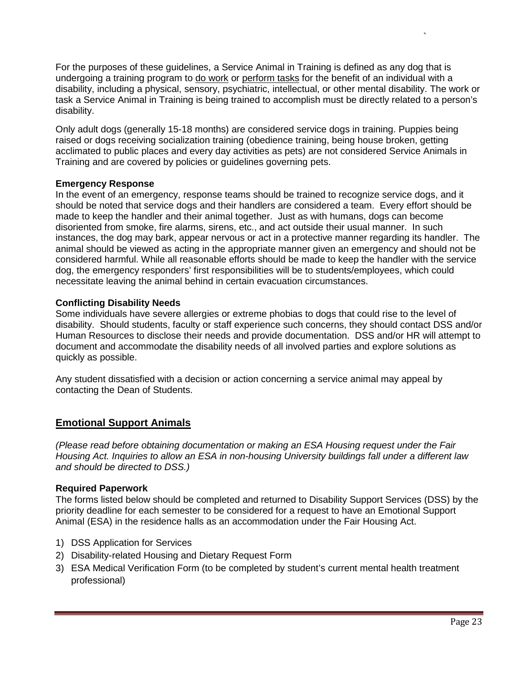For the purposes of these guidelines, a Service Animal in Training is defined as any dog that is undergoing a training program to do work or perform tasks for the benefit of an individual with a disability, including a physical, sensory, psychiatric, intellectual, or other mental disability. The work or task a Service Animal in Training is being trained to accomplish must be directly related to a person's disability.

Only adult dogs (generally 15-18 months) are considered service dogs in training. Puppies being raised or dogs receiving socialization training (obedience training, being house broken, getting acclimated to public places and every day activities as pets) are not considered Service Animals in Training and are covered by policies or guidelines governing pets.

#### <span id="page-22-0"></span>**Emergency Response**

In the event of an emergency, response teams should be trained to recognize service dogs, and it should be noted that service dogs and their handlers are considered a team. Every effort should be made to keep the handler and their animal together. Just as with humans, dogs can become disoriented from smoke, fire alarms, sirens, etc., and act outside their usual manner. In such instances, the dog may bark, appear nervous or act in a protective manner regarding its handler. The animal should be viewed as acting in the appropriate manner given an emergency and should not be considered harmful. While all reasonable efforts should be made to keep the handler with the service dog, the emergency responders' first responsibilities will be to students/employees, which could necessitate leaving the animal behind in certain evacuation circumstances.

#### <span id="page-22-1"></span>**Conflicting Disability Needs**

Some individuals have severe allergies or extreme phobias to dogs that could rise to the level of disability. Should students, faculty or staff experience such concerns, they should contact DSS and/or Human Resources to disclose their needs and provide documentation. DSS and/or HR will attempt to document and accommodate the disability needs of all involved parties and explore solutions as quickly as possible.

Any student dissatisfied with a decision or action concerning a service animal may appeal by contacting the Dean of Students.

## <span id="page-22-2"></span>**Emotional Support Animals**

*(Please read before obtaining documentation or making an ESA Housing request under the Fair Housing Act. Inquiries to allow an ESA in non-housing University buildings fall under a different law and should be directed to DSS.)*

#### <span id="page-22-3"></span>**Required Paperwork**

The forms listed below should be completed and returned to Disability Support Services (DSS) by the priority deadline for each semester to be considered for a request to have an Emotional Support Animal (ESA) in the residence halls as an accommodation under the Fair Housing Act.

- 1) DSS Application for Services
- 2) Disability-related Housing and Dietary Request Form
- 3) ESA Medical Verification Form (to be completed by student's current mental health treatment professional)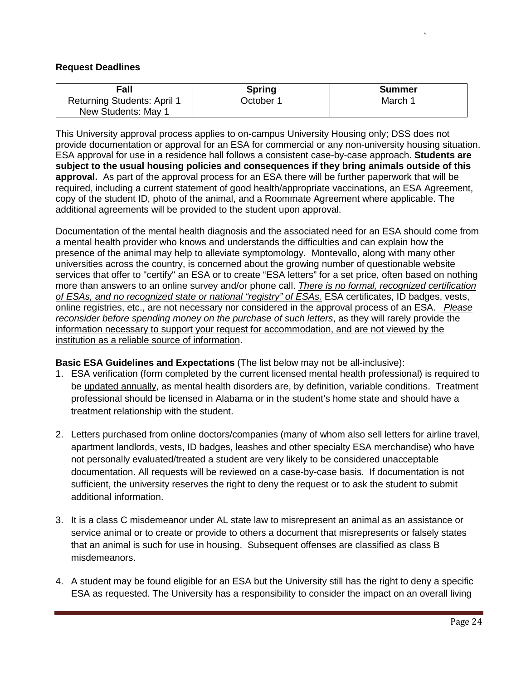#### <span id="page-23-0"></span>**Request Deadlines**

|         | Summer    |
|---------|-----------|
| March 1 |           |
|         | October 1 |

This University approval process applies to on-campus University Housing only; DSS does not provide documentation or approval for an ESA for commercial or any non-university housing situation. ESA approval for use in a residence hall follows a consistent case-by-case approach. **Students are subject to the usual housing policies and consequences if they bring animals outside of this approval.** As part of the approval process for an ESA there will be further paperwork that will be required, including a current statement of good health/appropriate vaccinations, an ESA Agreement, copy of the student ID, photo of the animal, and a Roommate Agreement where applicable. The additional agreements will be provided to the student upon approval.

Documentation of the mental health diagnosis and the associated need for an ESA should come from a mental health provider who knows and understands the difficulties and can explain how the presence of the animal may help to alleviate symptomology. Montevallo, along with many other universities across the country, is concerned about the growing number of questionable website services that offer to "certify" an ESA or to create "ESA letters" for a set price, often based on nothing more than answers to an online survey and/or phone call. *There is no formal, recognized certification of ESAs, and no recognized state or national "registry" of ESAs.* ESA certificates, ID badges, vests, online registries, etc., are not necessary nor considered in the approval process of an ESA. *Please reconsider before spending money on the purchase of such letters*, as they will rarely provide the information necessary to support your request for accommodation, and are not viewed by the institution as a reliable source of information.

#### <span id="page-23-1"></span>**Basic ESA Guidelines and Expectations** (The list below may not be all-inclusive):

- 1. ESA verification (form completed by the current licensed mental health professional) is required to be updated annually, as mental health disorders are, by definition, variable conditions. Treatment professional should be licensed in Alabama or in the student's home state and should have a treatment relationship with the student.
- 2. Letters purchased from online doctors/companies (many of whom also sell letters for airline travel, apartment landlords, vests, ID badges, leashes and other specialty ESA merchandise) who have not personally evaluated/treated a student are very likely to be considered unacceptable documentation. All requests will be reviewed on a case-by-case basis. If documentation is not sufficient, the university reserves the right to deny the request or to ask the student to submit additional information.
- 3. It is a class C misdemeanor under AL state law to misrepresent an animal as an assistance or service animal or to create or provide to others a document that misrepresents or falsely states that an animal is such for use in housing. Subsequent offenses are classified as class B misdemeanors.
- 4. A student may be found eligible for an ESA but the University still has the right to deny a specific ESA as requested. The University has a responsibility to consider the impact on an overall living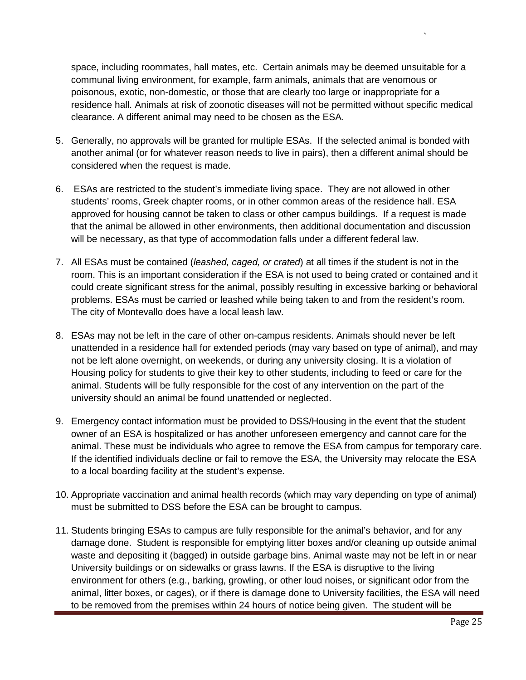space, including roommates, hall mates, etc. Certain animals may be deemed unsuitable for a communal living environment, for example, farm animals, animals that are venomous or poisonous, exotic, non-domestic, or those that are clearly too large or inappropriate for a residence hall. Animals at risk of zoonotic diseases will not be permitted without specific medical clearance. A different animal may need to be chosen as the ESA.

- 5. Generally, no approvals will be granted for multiple ESAs. If the selected animal is bonded with another animal (or for whatever reason needs to live in pairs), then a different animal should be considered when the request is made.
- 6. ESAs are restricted to the student's immediate living space. They are not allowed in other students' rooms, Greek chapter rooms, or in other common areas of the residence hall. ESA approved for housing cannot be taken to class or other campus buildings. If a request is made that the animal be allowed in other environments, then additional documentation and discussion will be necessary, as that type of accommodation falls under a different federal law.
- 7. All ESAs must be contained (*leashed, caged, or crated*) at all times if the student is not in the room. This is an important consideration if the ESA is not used to being crated or contained and it could create significant stress for the animal, possibly resulting in excessive barking or behavioral problems. ESAs must be carried or leashed while being taken to and from the resident's room. The city of Montevallo does have a local leash law.
- 8. ESAs may not be left in the care of other on-campus residents. Animals should never be left unattended in a residence hall for extended periods (may vary based on type of animal), and may not be left alone overnight, on weekends, or during any university closing. It is a violation of Housing policy for students to give their key to other students, including to feed or care for the animal. Students will be fully responsible for the cost of any intervention on the part of the university should an animal be found unattended or neglected.
- 9. Emergency contact information must be provided to DSS/Housing in the event that the student owner of an ESA is hospitalized or has another unforeseen emergency and cannot care for the animal. These must be individuals who agree to remove the ESA from campus for temporary care. If the identified individuals decline or fail to remove the ESA, the University may relocate the ESA to a local boarding facility at the student's expense.
- 10. Appropriate vaccination and animal health records (which may vary depending on type of animal) must be submitted to DSS before the ESA can be brought to campus.
- 11. Students bringing ESAs to campus are fully responsible for the animal's behavior, and for any damage done. Student is responsible for emptying litter boxes and/or cleaning up outside animal waste and depositing it (bagged) in outside garbage bins. Animal waste may not be left in or near University buildings or on sidewalks or grass lawns. If the ESA is disruptive to the living environment for others (e.g., barking, growling, or other loud noises, or significant odor from the animal, litter boxes, or cages), or if there is damage done to University facilities, the ESA will need to be removed from the premises within 24 hours of notice being given. The student will be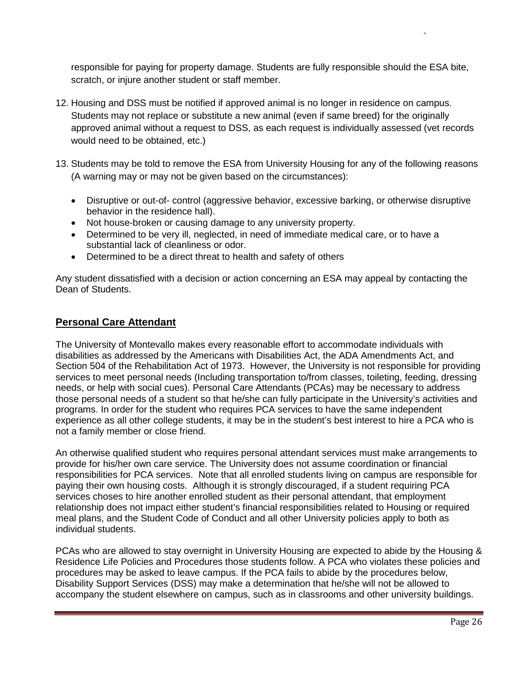responsible for paying for property damage. Students are fully responsible should the ESA bite, scratch, or injure another student or staff member.

- 12. Housing and DSS must be notified if approved animal is no longer in residence on campus. Students may not replace or substitute a new animal (even if same breed) for the originally approved animal without a request to DSS, as each request is individually assessed (vet records would need to be obtained, etc.)
- 13. Students may be told to remove the ESA from University Housing for any of the following reasons (A warning may or may not be given based on the circumstances):
	- Disruptive or out-of- control (aggressive behavior, excessive barking, or otherwise disruptive behavior in the residence hall).
	- Not house-broken or causing damage to any university property.
	- Determined to be very ill, neglected, in need of immediate medical care, or to have a substantial lack of cleanliness or odor.
	- Determined to be a direct threat to health and safety of others

Any student dissatisfied with a decision or action concerning an ESA may appeal by contacting the Dean of Students.

## <span id="page-25-0"></span>**Personal Care Attendant**

The University of Montevallo makes every reasonable effort to accommodate individuals with disabilities as addressed by the Americans with Disabilities Act, the ADA Amendments Act, and Section 504 of the Rehabilitation Act of 1973. However, the University is not responsible for providing services to meet personal needs (Including transportation to/from classes, toileting, feeding, dressing needs, or help with social cues). Personal Care Attendants (PCAs) may be necessary to address those personal needs of a student so that he/she can fully participate in the University's activities and programs. In order for the student who requires PCA services to have the same independent experience as all other college students, it may be in the student's best interest to hire a PCA who is not a family member or close friend.

An otherwise qualified student who requires personal attendant services must make arrangements to provide for his/her own care service. The University does not assume coordination or financial responsibilities for PCA services. Note that all enrolled students living on campus are responsible for paying their own housing costs. Although it is strongly discouraged, if a student requiring PCA services choses to hire another enrolled student as their personal attendant, that employment relationship does not impact either student's financial responsibilities related to Housing or required meal plans, and the Student Code of Conduct and all other University policies apply to both as individual students.

PCAs who are allowed to stay overnight in University Housing are expected to abide by the Housing & Residence Life Policies and Procedures those students follow. A PCA who violates these policies and procedures may be asked to leave campus. If the PCA fails to abide by the procedures below, Disability Support Services (DSS) may make a determination that he/she will not be allowed to accompany the student elsewhere on campus, such as in classrooms and other university buildings.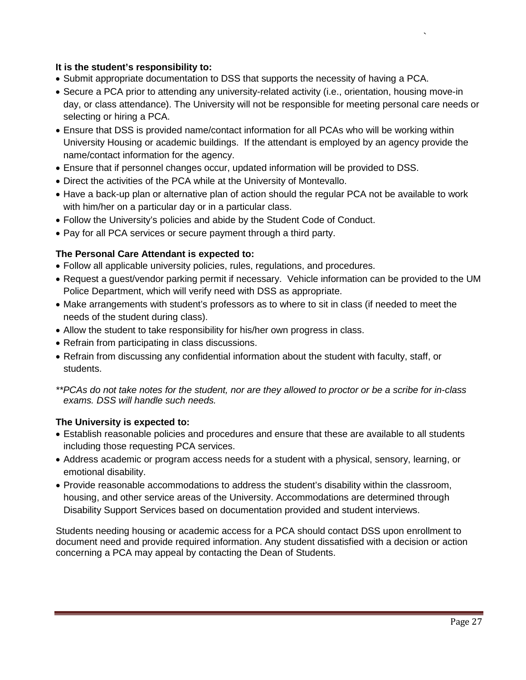## **It is the student's responsibility to:**

- Submit appropriate documentation to DSS that supports the necessity of having a PCA.
- Secure a PCA prior to attending any university-related activity (i.e., orientation, housing move-in day, or class attendance). The University will not be responsible for meeting personal care needs or selecting or hiring a PCA.
- Ensure that DSS is provided name/contact information for all PCAs who will be working within University Housing or academic buildings. If the attendant is employed by an agency provide the name/contact information for the agency.
- Ensure that if personnel changes occur, updated information will be provided to DSS.
- Direct the activities of the PCA while at the University of Montevallo.
- Have a back-up plan or alternative plan of action should the regular PCA not be available to work with him/her on a particular day or in a particular class.
- Follow the University's policies and abide by the Student Code of Conduct.
- Pay for all PCA services or secure payment through a third party.

#### **The Personal Care Attendant is expected to:**

- Follow all applicable university policies, rules, regulations, and procedures.
- Request a guest/vendor parking permit if necessary. Vehicle information can be provided to the UM Police Department, which will verify need with DSS as appropriate.
- Make arrangements with student's professors as to where to sit in class (if needed to meet the needs of the student during class).
- Allow the student to take responsibility for his/her own progress in class.
- Refrain from participating in class discussions.
- Refrain from discussing any confidential information about the student with faculty, staff, or students.

#### **The University is expected to:**

- Establish reasonable policies and procedures and ensure that these are available to all students including those requesting PCA services.
- Address academic or program access needs for a student with a physical, sensory, learning, or emotional disability.
- Provide reasonable accommodations to address the student's disability within the classroom, housing, and other service areas of the University. Accommodations are determined through Disability Support Services based on documentation provided and student interviews.

Students needing housing or academic access for a PCA should contact DSS upon enrollment to document need and provide required information. Any student dissatisfied with a decision or action concerning a PCA may appeal by contacting the Dean of Students.

*<sup>\*\*</sup>PCAs do not take notes for the student, nor are they allowed to proctor or be a scribe for in-class exams. DSS will handle such needs.*